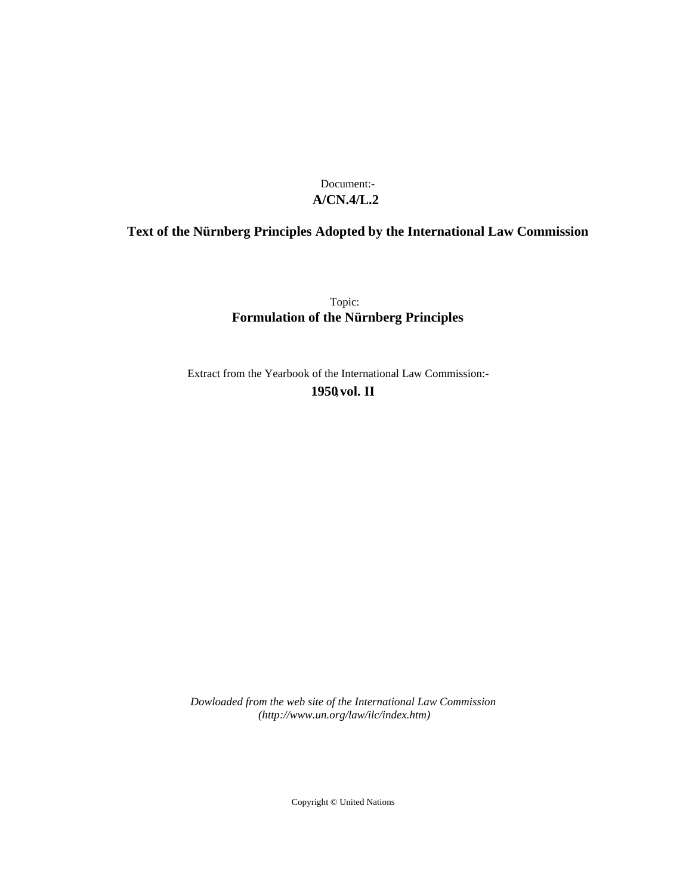# **A/CN.4/L.2** Document:-

# **Text of the Nürnberg Principles Adopted by the International Law Commission**

Topic: **Formulation of the Nürnberg Principles**

Extract from the Yearbook of the International Law Commission:- **1950** ,**vol. II**

*Dowloaded from the web site of the International Law Commission (http://www.un.org/law/ilc/index.htm)*

Copyright © United Nations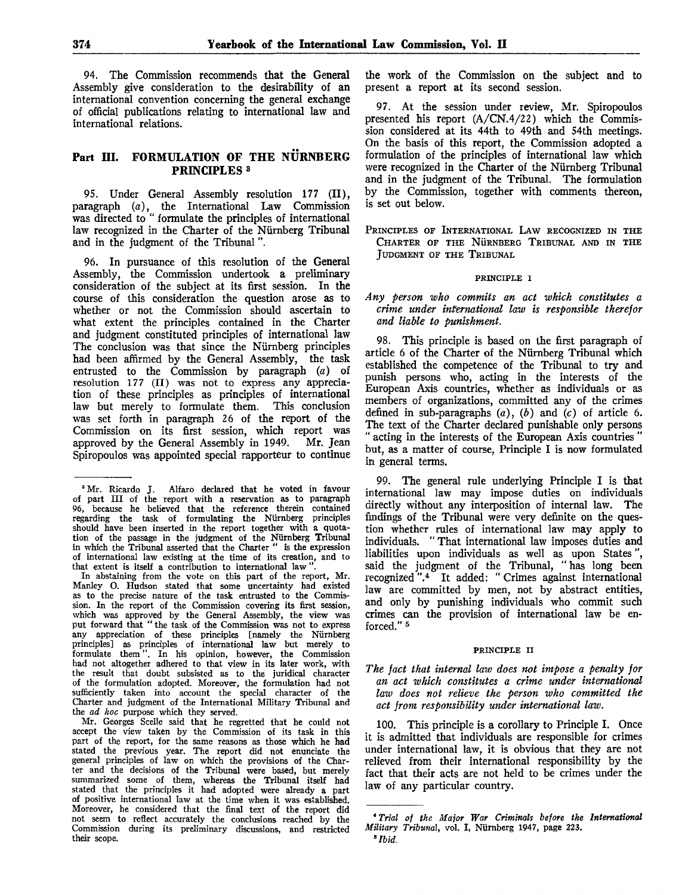94. The Commission recommends that the General Assembly give consideration to the desirability of an international convention concerning the general exchange of official publications relating to international law and international relations.

# Part III. FORMULATION OF THE NURNBERG PRINCIPLES 8

95. Under General Assembly resolution 177 (II), paragraph (a), the International Law Commission was directed to " formulate the principles of international law recognized in the Charter of the Nürnberg Tribunal and in the judgment of the Tribunal ".

96. In pursuance of this resolution of the General Assembly, the Commission undertook a preliminary consideration of the subject at its first session. In the course of this consideration the question arose as to whether or not the Commission should ascertain to what extent the principles contained in the Charter and judgment constituted principles of international law The conclusion was that since the Nürnberg principles had been affirmed by the General Assembly, the task entrusted to the Commission by paragraph *(a)* of resolution 177 (II) was not to express any appreciation of these principles as principles of international law but merely to formulate them. This conclusion was set forth in paragraph 26 of the report of the Commission on its first session, which report was approved by the General Assembly in 1949. Mr. Jean Spiropoulos was appointed special rapporteur to continue

<sup>3</sup> Mr. Ricardo J. Alfaro declared that he voted in favour of part III of the report with a reservation as to paragraph 96, because he believed that the reference therein contained regarding the task of formulating the Nurnberg principles regarding the task of formulating the Nürnberg should have been inserted in the report together with a quotation of the passage in the judgment of the Nürnberg Tribunal in which the Tribunal asserted that the Charter " is the expression of international law existing at the time of its creation, and to that extent is itself a contribution to international law

In abstaining from the vote on this part of the report, Mr. Manley O. Hudson stated that some uncertainty had existed as to the precise nature of the task entrusted to the Commission. In the report of the Commission covering its first session, which was approved by the General Assembly, the view was put forward that " the task of the Commission was not to express any appreciation of these principles [namely the Nürnberg principles] as principles of international law but merely to formulate them ". In his opinion, however, the Commission had not altogether adhered to that view in its later work, with the result that doubt subsisted as to the juridical character of the formulation adopted. Moreover, the formulation had not sufficiently taken into account the special character of the Charter and judgment of the International Military Tribunal and the *ad hoc* purpose which they served.

Mr. Georges Scelle said that he regretted that he could not accept the view taken by the Commission of its task in this part of the report, for the same reasons as those which he had stated the previous year. The report did not enunciate the general principles of law on which the provisions of the Charter and the decisions of the Tribunal were based, but merely summarized some of them, whereas the Tribunal itself had stated that the principles it had adopted were already a part of positive international law at the time when it was established. Moreover, he considered that the final text of the report did not seem to reflect accurately the conclusions reached by the Commission during its preliminary discussions, and restricted their scope.

the work of the Commission on the subject and to present a report at its second session.

97. At the session under review, Mr. Spiropoulos presented his report (A/CN.4/22) which the Commission considered at its 44th to 49th and 54th meetings. On the basis of this report, the Commission adopted a formulation of the principles of international law which were recognized in the Charter of the Nürnberg Tribunal and in the judgment of the Tribunal. The formulation by the Commission, together with comments thereon, is set out below.

PRINCIPLES OF INTERNATIONAL LAW RECOGNIZED IN THE CHARTER OF THE NÜRNBERG TRIBUNAL AND IN THE JUDGMENT OF THE TRIBUNAL

#### PRINCIPLE I

*Any person who commits an act which constitutes a crime under international law is responsible therejor and liable to punishment.*

98. This principle is based on the first paragraph of article 6 of the Charter of the Nürnberg Tribunal which established the competence of the Tribunal to try and punish persons who, acting in the interests of the European Axis countries, whether as individuals or as members of organizations, committed any of the crimes defined in sub-paragraphs *(a), (b)* and *(c)* of article 6. The text of the Charter declared punishable only persons acting in the interests of the European Axis countries' but, as a matter of course, Principle I is now formulated in general terms.

99. The general rule underlying Principle I is that international law may impose duties on individuals directly without any interposition of internal law. The findings of the Tribunal were very definite on the question whether rules of international law may apply to individuals. " That international law imposes duties and liabilities upon individuals as well as upon States ", said the judgment of the Tribunal, " has long been recognized ".<sup>4</sup> It added: " Crimes against international law are committed by men, not by abstract entities, and only by punishing individuals who commit such crimes can the provision of international law be enforced."  *5*

#### PRINCIPLE II

## *The fact that internal law does not impose a penalty for an act which constitutes a crime under international law does not relieve the person who committed the act from responsibility under international law.*

100. This principle is a corollary to Principle I. Once it is admitted that individuals are responsible for crimes under international law, it is obvious that they are not relieved from their international responsibility by the fact that their acts are not held to be crimes under the law of any particular country.

*<sup>&#</sup>x27;Trial of the Major War Criminals before the International Military Tribunal,* vol. I, Nürnberg 1947, page 223. *'Ibid.*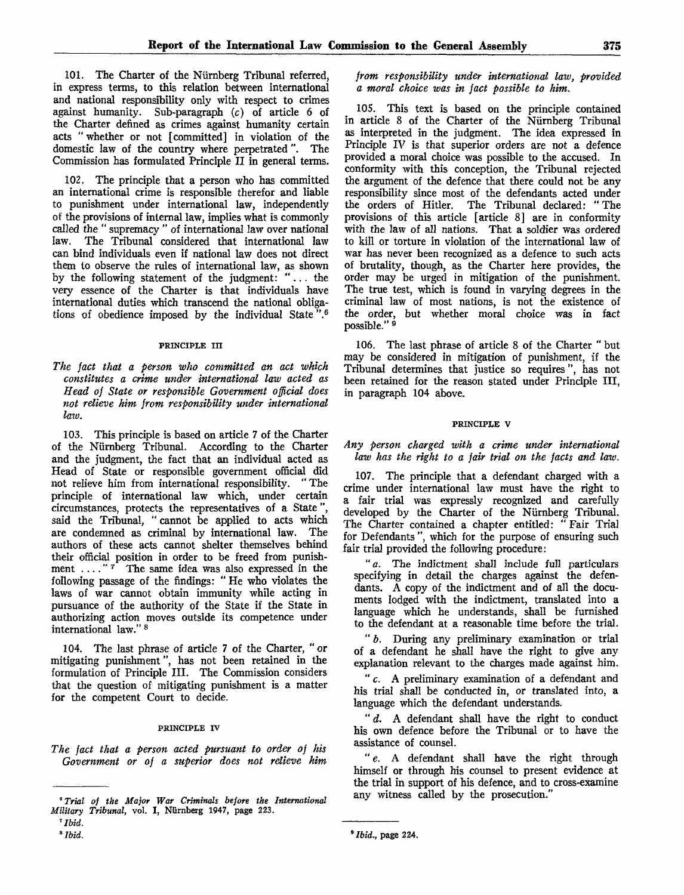101. The Charter of the Nürnberg Tribunal referred, in express terms, to this relation between international and national responsibility only with respect to crimes against humanity. Sub-paragraph *(c)* of article 6 of the Charter defined as crimes against humanity certain acts " whether or not [committed] in violation of the domestic law of the country where perpetrated ". The Commission has formulated Principle II in general terms.

102. The principle that a person who has committed an international crime is responsible therefor and liable to punishment under international law, independently of the provisions of internal law, implies what is commonly called the " supremacy " of international law over national<br>law The Tribunal considered that international law The Tribunal considered that international law can bind individuals even if national law does not direct them to observe the rules of international law, as shown by the following statement of the judgment: "... the very essence of the Charter is that individuals have international duties which transcend the national obligations of obedience imposed by the individual State ".<sup>6</sup>

#### PRINCIPLE III

*The fact that a person who committed an act which constitutes a crime under international law acted as Head of State or responsible Government official does not relieve him from responsibility under international law.*

103. This principle is based on article 7 of the Charter of the Nürnberg Tribunal. According to the Charter and the judgment, the fact that an individual acted as Head of State or responsible government official did not relieve him from international responsibility. " The principle of international law which, under certain circumstances, protects the representatives of a State ", said the Tribunal, " cannot be applied to acts which are condemned as criminal by international law. The authors of these acts cannot shelter themselves behind their official position in order to be freed from punishment  $\dots$  "<sup>7</sup>. The same idea was also expressed in the following passage of the findings: " He who violates the laws of war cannot obtain immunity while acting in pursuance of the authority of the State if the State in authorizing action moves outside its competence under international law."<sup>8</sup>

104. The last phrase of article 7 of the Charter, " or mitigating punishment ", has not been retained in the formulation of Principle III. The Commission considers that the question of mitigating punishment is a matter for the competent Court to decide.

#### PRINCIPLE IV

*The fact that a person acted pursuant to order of his Government or of a superior does not relieve him*

*7 Ibid.* 8  *Ibid.*

*from responsibility under international law, provided a moral choice was in fact possible to him.*

105. This text is based on the principle contained in article 8 of the Charter of the Nürnberg Tribunal as interpreted in the judgment. The idea expressed in Principle IV is that superior orders are not a defence provided a moral choice was possible to the accused. In conformity with this conception, the Tribunal rejected the argument of the defence that there could not be any responsibility since most of the defendants acted under the orders of Hitler. The Tribunal declared: "The provisions of this article [article 8] are in conformity with the law of all nations. That a soldier was ordered to kill or torture in violation of the international law of war has never been recognized as a defence to such acts of brutality, though, as the Charter here provides, the order may be urged in mitigation of the punishment. The true test, which is found in varying degrees in the criminal law of most nations, is not the existence of the order, but whether moral choice was in fact possible."<sup>8</sup>

106. The last phrase of article 8 of the Charter " but may be considered in mitigation of punishment, if the Tribunal determines that justice so requires ", has not been retained for the reason stated under Principle III, in paragraph 104 above.

#### PRINCIPLE v

## *Any person charged with a crime under international law has the right to a fair trial on the facts and law.*

107. The principle that a defendant charged with a crime under international law must have the right to a fair trial was expressly recognized and carefully developed by the Charter of the Nürnberg Tribunal. The Charter contained a chapter entitled: " Fair Trial for Defendants ", which for the purpose of ensuring such fair trial provided the following procedure:

*"a.* The indictment shall include full particulars specifying in detail the charges against the defendants. A copy of the indictment and of all the documents lodged with the indictment, translated into a language which he understands, shall be furnished to the defendant at a reasonable time before the trial.

" b. During any preliminary examination or trial of a defendant he shall have the right to give any explanation relevant to the charges made against him.

" *c.* A preliminary examination of a defendant and his trial shall be conducted in, or translated into, a language which the defendant understands.

" *d.* A defendant shall have the right to conduct his own defence before the Tribunal or to have the assistance of counsel.

" *e.* A defendant shall have the right through himself or through his counsel to present evidence at the trial in support of his defence, and to cross-examine any witness called by the prosecution."

*<sup>&</sup>quot;Trial of the Major War Criminals before the International Military Tribunal,* vol. I, Nürnberg 1947, page 223.

*<sup>&#</sup>x27;Ibid.,* page 224.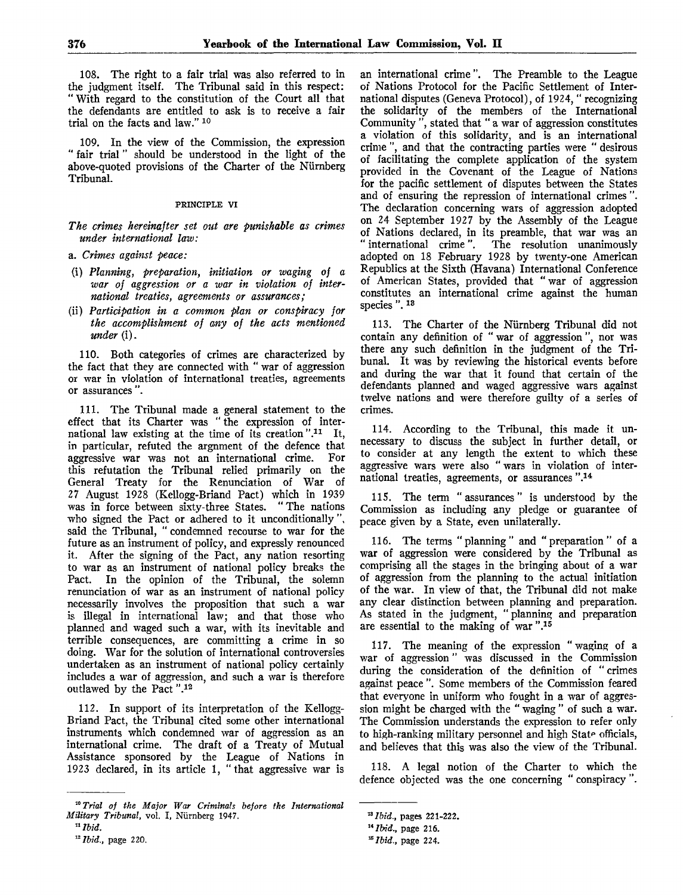108. The right to a fair trial was also referred to in the judgment itself. The Tribunal said in this respect: " With regard to the constitution of the Court all that the defendants are entitled to ask is to receive a fair trial on the facts and law." $10$ 

109. In the view of the Commission, the expression " fair trial " should be understood in the light of the above-quoted provisions of the Charter of the Nürnberg Tribunal.

#### PRINCIPLE VI

*The crimes hereinafter set out are punishable as crimes under international law:*

a. *Crimes against peace:*

- (i) *Planning, preparation, initiation or waging of a war of aggression or a war in violation of international treaties, agreements or assurances;*
- (ii) *Participation in a common plan or conspiracy for the accomplishment of any of the acts mentioned under* (i).

110. Both categories of crimes are characterized by the fact that they are connected with " war of aggression or war in violation of international treaties, agreements or assurances ".

111. The Tribunal made a general statement to the effect that its Charter was " the expression of international law existing at the time of its creation".<sup>11</sup> It, in particular, refuted the argument of the defence that aggressive war was not an international crime. For this refutation the Tribunal relied primarily on the General Treaty for the Renunciation of War of 27 August 1928 (Kellogg-Briand Pact) which in 1939 was in force between sixty-three States. " The nations who signed the Pact or adhered to it unconditionally ", said the Tribunal, " condemned recourse to war for the future as an instrument of policy, and expressly renounced it. After the signing of the Pact, any nation resorting to war as an instrument of national policy breaks the Pact. In the opinion of the Tribunal, the solemn renunciation of war as an instrument of national policy necessarily involves the proposition that such a war is illegal in international law; and that those who planned and waged such a war, with its inevitable and terrible consequences, are committing a crime in so doing. War for the solution of international controversies undertaken as an instrument of national policy certainly includes a war of aggression, and such a war is therefore outlawed by the Pact ".<sup>12</sup>

112. In support of its interpretation of the Kellogg-Briand Pact, the Tribunal cited some other international instruments which condemned war of aggression as an international crime. The draft of a Treaty of Mutual Assistance sponsored by the League of Nations in 1923 declared, in its article 1, "that aggressive war is

an international crime ". The Preamble to the League of Nations Protocol for the Pacific Settlement of International disputes (Geneva Protocol), of 1924, " recognizing the solidarity of the members of the International Community ", stated that " a war of aggression constitutes a violation of this solidarity, and is an international crime ", and that the contracting parties were " desirous of facilitating the complete application of the system provided in the Covenant of the League of Nations for the pacific settlement of disputes between the States and of ensuring the repression of international crimes ". The declaration concerning wars of aggression adopted on 24 September 1927 by the Assembly of the League of Nations declared, in its preamble, that war was an " international crime ". The resolution unanimously adopted on 18 February 1928 by twenty-one American Republics at the Sixth (Havana) International Conference of American States, provided that " war of aggression constitutes an international crime against the human species ". <sup>13</sup>

113. The Charter of the Nürnberg Tribunal did not contain any definition of " war of aggression ", nor was there any such definition in the judgment of the Tribunal. It was by reviewing the historical events before and during the war that it found that certain of the defendants planned and waged aggressive wars against twelve nations and were therefore guilty of a series of crimes.

114. According to the Tribunal, this made it unnecessary to discuss the subject in further detail, or to consider at any length the extent to which these aggressive wars were also " wars in violation of international treaties, agreements, or assurances ".<sup>14</sup>

115. The term "assurances" is understood by the Commission as including any pledge or guarantee of peace given by a State, even unilaterally.

116. The terms "planning" and "preparation" of a war of aggression were considered by the Tribunal as comprising all the stages in the bringing about of a war of aggression from the planning to the actual initiation of the war. In view of that, the Tribunal did not make any clear distinction between planning and preparation. As stated in the judgment, " planning and preparation are essential to the making of war ".<sup>15</sup>

117. The meaning of the expression "waging of a war of aggression " was discussed in the Commission during the consideration of the definition of " crimes against peace ". Some members of the Commission feared that everyone in uniform who fought in a war of aggression might be charged with the " waging " of such a war. The Commission understands the expression to refer only to high-ranking military personnel and high State officials, and believes that this was also the view of the Tribunal.

118. A legal notion of the Charter to which the defence objected was the one concerning " conspiracy ".

<sup>10</sup>*Trial of the Major War Criminals before the International Military Tribunal,* vol. I, Nürnberg 1947.

<sup>11</sup>  *Ibid.*

*<sup>&</sup>quot;Ibid.,* page 220.

*<sup>&</sup>quot;Ibid.,* pages 221-222.

*<sup>&</sup>quot;Ibid.,* page 216.

*K Ibid.,* page 224.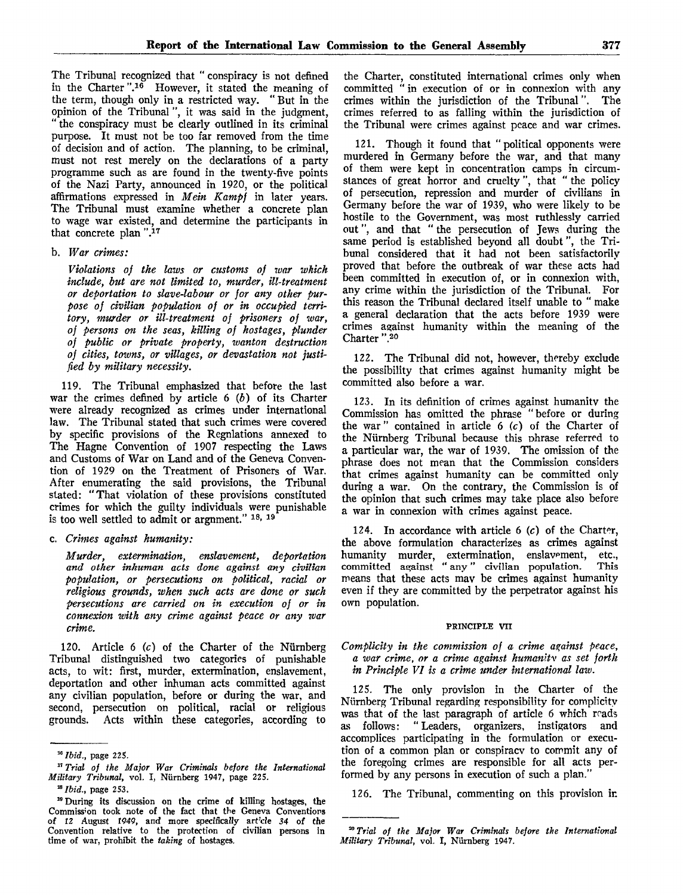The Tribunal recognized that " conspiracy is not defined in the Charter ".<sup>16</sup> However, it stated the meaning of the term, though only in a restricted way. "But in the opinion of the Tribunal ", it was said in the judgment, " the conspiracy must be clearly outlined in its criminal purpose. It must not be too far removed from the time of decision and of action. The planning, to be criminal, must not rest merely on the declarations of a party programme such as are found in the twenty-five points of the Nazi Party, announced in 1920, or the political affirmations expressed in *Mein Kampj* in later years. The Tribunal must examine whether a concrete plan to wage war existed, and determine the participants in that concrete plan ".<sup>17</sup>

b. *War crimes:*

*Violations of the laws or customs of war which include, but are not limited to, murder, ill-treatment or deportation to slave-labour or for any other purpose of civilian population of or in occupied territory, murder or ill-treatment of prisoners of war, of persons on the seas, killing of hostages, plunder of public or private property, wanton destruction of cities, towns, or villages, or devastation not justified by military necessity.*

119. The Tribunal emphasized that before the last war the crimes defined by article *6 (b)* of its Charter were already recognized as crimes under international law. The Tribunal stated that such crimes were covered by specific provisions of the Regulations annexed to The Hagne Convention of 1907 respecting the Laws and Customs of War on Land and of the Geneva Convention of 1929 on the Treatment of Prisoners of War. After enumerating the said provisions, the Tribunal stated: "That violation of these provisions constituted crimes for which the guilty individuals were punishable is too well settled to admit or argument."<sup>18</sup><sup>, 19</sup>

c. *Crimes against humanity:*

*Murder, extermination, enslavement, deportation and other inhuman acts done against any civilian population, or persecutions on political, racial or religious grounds, when such acts are done or such persecutions are carried on in execution of or in connexion with any crime against peace or any war crime.*

120. Article *6 (c)* of the Charter of the Niirnberg Tribunal distinguished two categories of punishable acts, to wit: first, murder, extermination, enslavement, deportation and other inhuman acts committed against any civilian population, before or during the war, and second, persecution on political, racial or religious grounds. Acts within these categories, according to

*m lbid.,* page *253.*

the Charter, constituted international crimes only when committed " in execution of or in connexion with any crimes within the jurisdiction of the Tribunal ". The crimes referred to as falling within the jurisdiction of the Tribunal were crimes against peace and war crimes.

121. Though it found that "political opponents were murdered in Germany before the war, and that many of them were kept in concentration camps in circumstances of great horror and cruelty ", that " the policy of persecution, repression and murder of civilians in Germany before the war of 1939, who were likely to be hostile to the Government, was most ruthlessly carried out ", and that " the persecution of Jews during the same period is established beyond all doubt ", the Tribunal considered that it had not been satisfactorily proved that before the outbreak of war these acts had been committed in execution of, or in connexion with, any crime within the jurisdiction of the Tribunal. For this reason the Tribunal declared itself unable to " make a general declaration that the acts before 1939 were crimes against humanity within the meaning of the Charter ".<sup>20</sup>

122. The Tribunal did not, however, thereby exclude the possibility that crimes against humanity might be committed also before a war.

123. In its definition of crimes against humanity the Commission has omitted the phrase "before or during the war " contained in article *6 (c)* of the Charter of the Niirnberg Tribunal because this ohrase referred to a particular war, the war of 1939. The omission of the phrase does not mean that the Commission considers that crimes against humanity can be committed only during a war. On the contrary, the Commission is of the opinion that such crimes may take place also before a war in connexion with crimes against peace.

124. In accordance with article *6 (c)* of the Charter, the above formulation characterizes as crimes against humanity murder, extermination, enslavement, etc., committed against "any" civilian population. This means that these acts mav be crimes against humanity even if they are committed by the perpetrator against his own population.

#### PRINCIPLE VII

## *Complicity in the commission of a- crime against peace, a war crime, or a crime against humanity as set forth in Principle VI is a crime under international law.*

125. The only provision in the Charter of the Niirnberg Tribunal regarding responsibility for complicity was that of the last paragraph of article 6 which reads<br>as follows: "Leaders, organizers, instigators and as follows: "Leaders, organizers, instigators and accomplices participating in the formulation or execution of a common plan or conspiracy to commit any of the foregoing crimes are responsible for all acts performed by any persons in execution of such a plan."

126. The Tribunal, commenting on this provision in

<sup>10</sup>  *Ibid.,* page *225.*

<sup>&</sup>lt;sup>11</sup> Trial of the Major War Criminals before the International *Military Tribunal,* vol. I, Niirnberg 1947, page 225.

<sup>&</sup>lt;sup>19</sup> During its discussion on the crime of killing hostages, the Commission took note of the fact that the Geneva Conventions of 12 August 1949, and more specifically art'cle 34 of the Convention relative to the protection of civilian persons in time of war, prohibit the *taking* of hostages.

<sup>20</sup>  *Trial of the Major War Criminals before the International Military Tribunal,* vol. I, Niirnberg 1947.